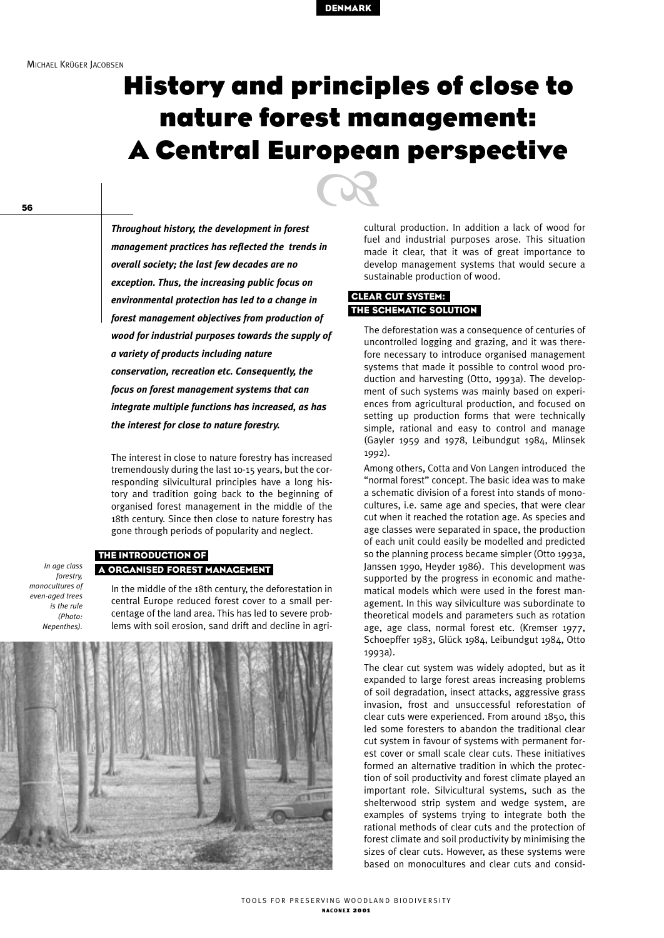

# **History and principles of close to nature forest management: A Central European perspective CB**

56

*In age class forestry, monocultures of even-aged trees is the rule (Photo: Nepenthes).*

*Throughout history, the development in forest management practices has reflected the trends in overall society; the last few decades are no exception. Thus, the increasing public focus on environmental protection has led to a change in forest management objectives from production of wood for industrial purposes towards the supply of a variety of products including nature conservation, recreation etc. Consequently, the focus on forest management systems that can integrate multiple functions has increased, as has the interest for close to nature forestry.*

The interest in close to nature forestry has increased tremendously during the last 10-15 years, but the corresponding silvicultural principles have a long history and tradition going back to the beginning of organised forest management in the middle of the 18th century. Since then close to nature forestry has gone through periods of popularity and neglect.

#### THE INTRODUCTION OF A ORGANISED FOREST MANAGEMENT

In the middle of the 18th century, the deforestation in central Europe reduced forest cover to a small percentage of the land area. This has led to severe problems with soil erosion, sand drift and decline in agri-



cultural production. In addition a lack of wood for fuel and industrial purposes arose. This situation made it clear, that it was of great importance to develop management systems that would secure a sustainable production of wood.

#### CLEAR CUT SYSTEM: THE SCHEMATIC SOLUTION

The deforestation was a consequence of centuries of uncontrolled logging and grazing, and it was therefore necessary to introduce organised management systems that made it possible to control wood production and harvesting (Otto, 1993a). The development of such systems was mainly based on experiences from agricultural production, and focused on setting up production forms that were technically simple, rational and easy to control and manage (Gayler 1959 and 1978, Leibundgut 1984, Mlinsek 1992).

Among others, Cotta and Von Langen introduced the "normal forest" concept. The basic idea was to make a schematic division of a forest into stands of monocultures, i.e. same age and species, that were clear cut when it reached the rotation age. As species and age classes were separated in space, the production of each unit could easily be modelled and predicted so the planning process became simpler (Otto 1993a, Janssen 1990, Heyder 1986). This development was supported by the progress in economic and mathematical models which were used in the forest management. In this way silviculture was subordinate to theoretical models and parameters such as rotation age, age class, normal forest etc. (Kremser 1977, Schoepffer 1983, Glück 1984, Leibundgut 1984, Otto 1993a).

The clear cut system was widely adopted, but as it expanded to large forest areas increasing problems of soil degradation, insect attacks, aggressive grass invasion, frost and unsuccessful reforestation of clear cuts were experienced. From around 1850, this led some foresters to abandon the traditional clear cut system in favour of systems with permanent forest cover or small scale clear cuts. These initiatives formed an alternative tradition in which the protection of soil productivity and forest climate played an important role. Silvicultural systems, such as the shelterwood strip system and wedge system, are examples of systems trying to integrate both the rational methods of clear cuts and the protection of forest climate and soil productivity by minimising the sizes of clear cuts. However, as these systems were based on monocultures and clear cuts and consid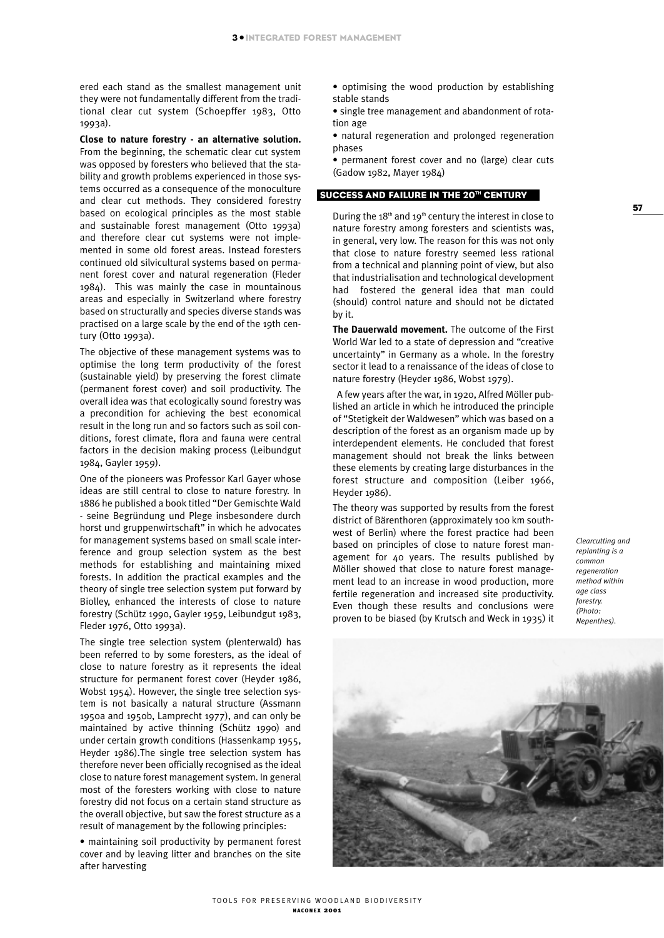ered each stand as the smallest management unit they were not fundamentally different from the traditional clear cut system (Schoepffer 1983, Otto 1993a).

**Close to nature forestry - an alternative solution.** From the beginning, the schematic clear cut system was opposed by foresters who believed that the stability and growth problems experienced in those systems occurred as a consequence of the monoculture and clear cut methods. They considered forestry based on ecological principles as the most stable and sustainable forest management (Otto 1993a) and therefore clear cut systems were not implemented in some old forest areas. Instead foresters continued old silvicultural systems based on permanent forest cover and natural regeneration (Fleder 1984). This was mainly the case in mountainous areas and especially in Switzerland where forestry based on structurally and species diverse stands was practised on a large scale by the end of the 19th century (Otto 1993a).

The objective of these management systems was to optimise the long term productivity of the forest (sustainable yield) by preserving the forest climate (permanent forest cover) and soil productivity. The overall idea was that ecologically sound forestry was a precondition for achieving the best economical result in the long run and so factors such as soil conditions, forest climate, flora and fauna were central factors in the decision making process (Leibundgut 1984, Gayler 1959).

One of the pioneers was Professor Karl Gayer whose ideas are still central to close to nature forestry. In 1886 he published a book titled "Der Gemischte Wald - seine Begründung und Plege insbesondere durch horst und gruppenwirtschaft" in which he advocates for management systems based on small scale interference and group selection system as the best methods for establishing and maintaining mixed forests. In addition the practical examples and the theory of single tree selection system put forward by Biolley, enhanced the interests of close to nature forestry (Schütz 1990, Gayler 1959, Leibundgut 1983, Fleder 1976, Otto 1993a).

The single tree selection system (plenterwald) has been referred to by some foresters, as the ideal of close to nature forestry as it represents the ideal structure for permanent forest cover (Heyder 1986, Wobst 1954). However, the single tree selection system is not basically a natural structure (Assmann 1950a and 1950b, Lamprecht 1977), and can only be maintained by active thinning (Schütz 1990) and under certain growth conditions (Hassenkamp 1955, Heyder 1986).The single tree selection system has therefore never been officially recognised as the ideal close to nature forest management system. In general most of the foresters working with close to nature forestry did not focus on a certain stand structure as the overall objective, but saw the forest structure as a result of management by the following principles:

• maintaining soil productivity by permanent forest cover and by leaving litter and branches on the site after harvesting

• optimising the wood production by establishing stable stands

• single tree management and abandonment of rotation age

• natural regeneration and prolonged regeneration phases

• permanent forest cover and no (large) clear cuts (Gadow 1982, Mayer 1984)

#### SUCCESS AND FAILURE IN THE 20TH CENTURY

During the  $18<sup>th</sup>$  and  $19<sup>th</sup>$  century the interest in close to nature forestry among foresters and scientists was, in general, very low. The reason for this was not only that close to nature forestry seemed less rational from a technical and planning point of view, but also that industrialisation and technological development had fostered the general idea that man could (should) control nature and should not be dictated by it.

**The Dauerwald movement.** The outcome of the First World War led to a state of depression and "creative uncertainty" in Germany as a whole. In the forestry sector it lead to a renaissance of the ideas of close to nature forestry (Heyder 1986, Wobst 1979).

A few years after the war, in 1920, Alfred Möller published an article in which he introduced the principle of "Stetigkeit der Waldwesen" which was based on a description of the forest as an organism made up by interdependent elements. He concluded that forest management should not break the links between these elements by creating large disturbances in the forest structure and composition (Leiber 1966, Heyder 1986).

The theory was supported by results from the forest district of Bärenthoren (approximately 100 km southwest of Berlin) where the forest practice had been based on principles of close to nature forest management for 40 years. The results published by Möller showed that close to nature forest management lead to an increase in wood production, more fertile regeneration and increased site productivity. Even though these results and conclusions were proven to be biased (by Krutsch and Weck in 1935) it

*Clearcutting and replanting is a common regeneration method within age class forestry. (Photo: Nepenthes).*

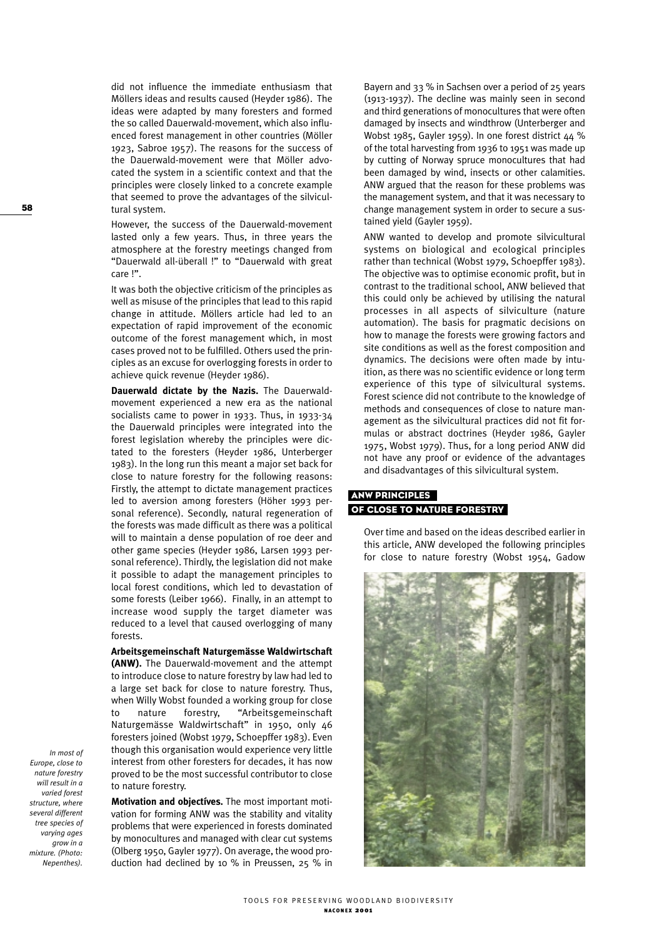did not influence the immediate enthusiasm that Möllers ideas and results caused (Heyder 1986). The ideas were adapted by many foresters and formed the so called Dauerwald-movement, which also influenced forest management in other countries (Möller 1923, Sabroe 1957). The reasons for the success of the Dauerwald-movement were that Möller advocated the system in a scientific context and that the principles were closely linked to a concrete example that seemed to prove the advantages of the silvicultural system.

However, the success of the Dauerwald-movement lasted only a few years. Thus, in three years the atmosphere at the forestry meetings changed from "Dauerwald all-überall !" to "Dauerwald with great care !".

It was both the objective criticism of the principles as well as misuse of the principles that lead to this rapid change in attitude. Möllers article had led to an expectation of rapid improvement of the economic outcome of the forest management which, in most cases proved not to be fulfilled. Others used the principles as an excuse for overlogging forests in order to achieve quick revenue (Heyder 1986).

**Dauerwald dictate by the Nazis.** The Dauerwaldmovement experienced a new era as the national socialists came to power in 1933. Thus, in 1933-34 the Dauerwald principles were integrated into the forest legislation whereby the principles were dictated to the foresters (Heyder 1986, Unterberger 1983). In the long run this meant a major set back for close to nature forestry for the following reasons: Firstly, the attempt to dictate management practices led to aversion among foresters (Höher 1993 personal reference). Secondly, natural regeneration of the forests was made difficult as there was a political will to maintain a dense population of roe deer and other game species (Heyder 1986, Larsen 1993 personal reference). Thirdly, the legislation did not make it possible to adapt the management principles to local forest conditions, which led to devastation of some forests (Leiber 1966). Finally, in an attempt to increase wood supply the target diameter was reduced to a level that caused overlogging of many forests.

**Arbeitsgemeinschaft Naturgemässe Waldwirtschaft (ANW).** The Dauerwald-movement and the attempt to introduce close to nature forestry by law had led to a large set back for close to nature forestry. Thus, when Willy Wobst founded a working group for close to nature forestry, "Arbeitsgemeinschaft Naturgemässe Waldwirtschaft" in 1950, only 46 foresters joined (Wobst 1979, Schoepffer 1983). Even though this organisation would experience very little interest from other foresters for decades, it has now proved to be the most successful contributor to close to nature forestry.

**Motivation and objectíves.** The most important motivation for forming ANW was the stability and vitality problems that were experienced in forests dominated by monocultures and managed with clear cut systems (Olberg 1950, Gayler 1977). On average, the wood production had declined by 10 % in Preussen, 25 % in

Bayern and 33 % in Sachsen over a period of 25 years (1913-1937). The decline was mainly seen in second and third generations of monocultures that were often damaged by insects and windthrow (Unterberger and Wobst 1985, Gayler 1959). In one forest district 44 % of the total harvesting from 1936 to 1951 was made up by cutting of Norway spruce monocultures that had been damaged by wind, insects or other calamities. ANW argued that the reason for these problems was the management system, and that it was necessary to change management system in order to secure a sustained yield (Gayler 1959).

ANW wanted to develop and promote silvicultural systems on biological and ecological principles rather than technical (Wobst 1979, Schoepffer 1983). The objective was to optimise economic profit, but in contrast to the traditional school, ANW believed that this could only be achieved by utilising the natural processes in all aspects of silviculture (nature automation). The basis for pragmatic decisions on how to manage the forests were growing factors and site conditions as well as the forest composition and dynamics. The decisions were often made by intuition, as there was no scientific evidence or long term experience of this type of silvicultural systems. Forest science did not contribute to the knowledge of methods and consequences of close to nature management as the silvicultural practices did not fit formulas or abstract doctrines (Heyder 1986, Gayler 1975, Wobst 1979). Thus, for a long period ANW did not have any proof or evidence of the advantages and disadvantages of this silvicultural system.

# ANW PRINCIPLES OF CLOSE TO NATURE FORESTRY

Over time and based on the ideas described earlier in this article, ANW developed the following principles for close to nature forestry (Wobst 1954, Gadow



58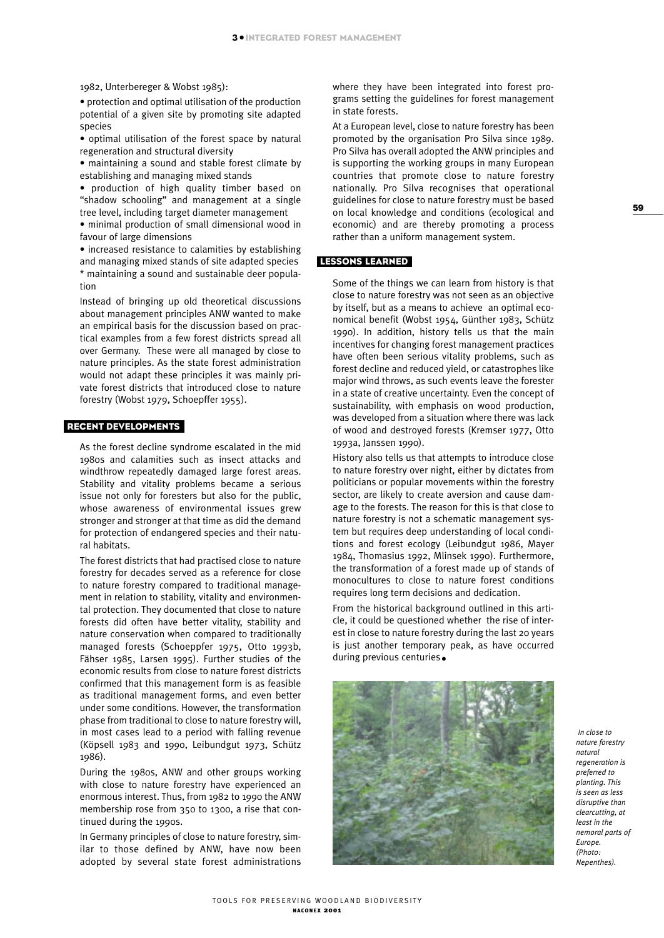1982, Unterbereger & Wobst 1985):

• protection and optimal utilisation of the production potential of a given site by promoting site adapted species

• optimal utilisation of the forest space by natural regeneration and structural diversity

• maintaining a sound and stable forest climate by establishing and managing mixed stands

• production of high quality timber based on "shadow schooling" and management at a single tree level, including target diameter management

• minimal production of small dimensional wood in favour of large dimensions

• increased resistance to calamities by establishing and managing mixed stands of site adapted species \* maintaining a sound and sustainable deer population

Instead of bringing up old theoretical discussions about management principles ANW wanted to make an empirical basis for the discussion based on practical examples from a few forest districts spread all over Germany. These were all managed by close to nature principles. As the state forest administration would not adapt these principles it was mainly private forest districts that introduced close to nature forestry (Wobst 1979, Schoepffer 1955).

### RECENT DEVELOPMENTS

As the forest decline syndrome escalated in the mid 1980s and calamities such as insect attacks and windthrow repeatedly damaged large forest areas. Stability and vitality problems became a serious issue not only for foresters but also for the public, whose awareness of environmental issues grew stronger and stronger at that time as did the demand for protection of endangered species and their natural habitats.

The forest districts that had practised close to nature forestry for decades served as a reference for close to nature forestry compared to traditional management in relation to stability, vitality and environmental protection. They documented that close to nature forests did often have better vitality, stability and nature conservation when compared to traditionally managed forests (Schoeppfer 1975, Otto 1993b, Fähser 1985, Larsen 1995). Further studies of the economic results from close to nature forest districts confirmed that this management form is as feasible as traditional management forms, and even better under some conditions. However, the transformation phase from traditional to close to nature forestry will, in most cases lead to a period with falling revenue (Köpsell 1983 and 1990, Leibundgut 1973, Schütz 1986).

During the 1980s, ANW and other groups working with close to nature forestry have experienced an enormous interest. Thus, from 1982 to 1990 the ANW membership rose from 350 to 1300, a rise that continued during the 1990s.

In Germany principles of close to nature forestry, similar to those defined by ANW, have now been adopted by several state forest administrations where they have been integrated into forest programs setting the guidelines for forest management in state forests.

At a European level, close to nature forestry has been promoted by the organisation Pro Silva since 1989. Pro Silva has overall adopted the ANW principles and is supporting the working groups in many European countries that promote close to nature forestry nationally. Pro Silva recognises that operational guidelines for close to nature forestry must be based on local knowledge and conditions (ecological and economic) and are thereby promoting a process rather than a uniform management system.

# LESSONS LEARNED

Some of the things we can learn from history is that close to nature forestry was not seen as an objective by itself, but as a means to achieve an optimal economical benefit (Wobst 1954, Günther 1983, Schütz 1990). In addition, history tells us that the main incentives for changing forest management practices have often been serious vitality problems, such as forest decline and reduced yield, or catastrophes like major wind throws, as such events leave the forester in a state of creative uncertainty. Even the concept of sustainability, with emphasis on wood production, was developed from a situation where there was lack of wood and destroyed forests (Kremser 1977, Otto 1993a, Janssen 1990).

History also tells us that attempts to introduce close to nature forestry over night, either by dictates from politicians or popular movements within the forestry sector, are likely to create aversion and cause damage to the forests. The reason for this is that close to nature forestry is not a schematic management system but requires deep understanding of local conditions and forest ecology (Leibundgut 1986, Mayer 1984, Thomasius 1992, Mlinsek 1990). Furthermore, the transformation of a forest made up of stands of monocultures to close to nature forest conditions requires long term decisions and dedication.

From the historical background outlined in this article, it could be questioned whether the rise of interest in close to nature forestry during the last 20 years is just another temporary peak, as have occurred during previous centuries.



*In close to nature forestry natural regeneration is preferred to planting. This is seen as less disruptive than clearcutting, at least in the nemoral parts of Europe. (Photo: Nepenthes).*